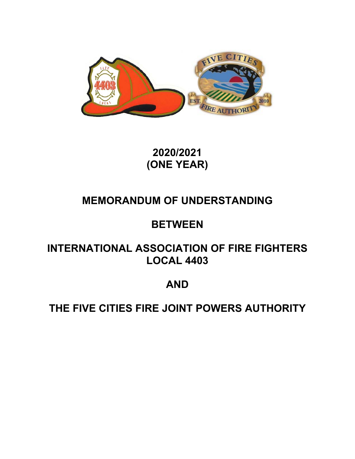

**2020/2021 (ONE YEAR)** 

# **MEMORANDUM OF UNDERSTANDING**

# **BETWEEN**

# **INTERNATIONAL ASSOCIATION OF FIRE FIGHTERS LOCAL 4403**

# **AND**

# **THE FIVE CITIES FIRE JOINT POWERS AUTHORITY**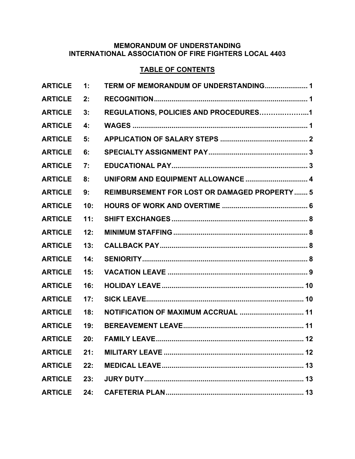# **MEMORANDUM OF UNDERSTANDING INTERNATIONAL ASSOCIATION OF FIRE FIGHTERS LOCAL 4403**

# **TABLE OF CONTENTS**

| <b>ARTICLE</b> | 1:  | TERM OF MEMORANDUM OF UNDERSTANDING 1               |
|----------------|-----|-----------------------------------------------------|
| <b>ARTICLE</b> | 2:  |                                                     |
| <b>ARTICLE</b> | 3:  | REGULATIONS, POLICIES AND PROCEDURES1               |
| <b>ARTICLE</b> | 4:  |                                                     |
| <b>ARTICLE</b> | 5:  |                                                     |
| <b>ARTICLE</b> | 6:  |                                                     |
| <b>ARTICLE</b> | 7:  |                                                     |
| <b>ARTICLE</b> | 8:  | UNIFORM AND EQUIPMENT ALLOWANCE  4                  |
| <b>ARTICLE</b> | 9:  | <b>REIMBURSEMENT FOR LOST OR DAMAGED PROPERTY 5</b> |
| <b>ARTICLE</b> | 10: |                                                     |
| <b>ARTICLE</b> | 11: |                                                     |
| <b>ARTICLE</b> | 12: |                                                     |
| <b>ARTICLE</b> | 13: |                                                     |
| <b>ARTICLE</b> | 14: |                                                     |
| <b>ARTICLE</b> | 15: |                                                     |
| <b>ARTICLE</b> | 16: |                                                     |
| <b>ARTICLE</b> | 17: |                                                     |
| <b>ARTICLE</b> | 18: | NOTIFICATION OF MAXIMUM ACCRUAL  11                 |
| <b>ARTICLE</b> | 19: |                                                     |
| <b>ARTICLE</b> | 20: | <b>FAMILY LEAVE</b><br>$12 \,$                      |
| <b>ARTICLE</b> | 21: |                                                     |
| <b>ARTICLE</b> | 22: |                                                     |
| <b>ARTICLE</b> | 23: |                                                     |
| <b>ARTICLE</b> | 24: |                                                     |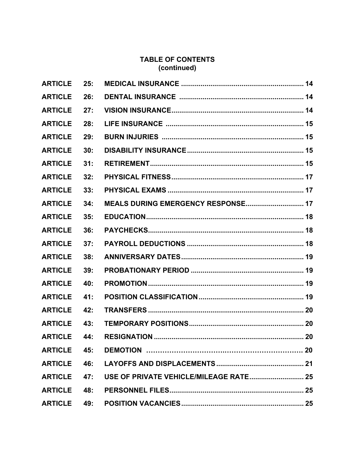# **TABLE OF CONTENTS (continued)**

| <b>ARTICLE</b>     | 25: |                                    |    |
|--------------------|-----|------------------------------------|----|
| <b>ARTICLE</b>     | 26: |                                    |    |
| <b>ARTICLE</b>     | 27: |                                    |    |
| <b>ARTICLE</b>     | 28: |                                    |    |
| <b>ARTICLE</b>     | 29: |                                    |    |
| <b>ARTICLE</b>     | 30: |                                    |    |
| <b>ARTICLE</b>     | 31: |                                    |    |
| <b>ARTICLE</b>     | 32: |                                    |    |
| <b>ARTICLE</b>     | 33: |                                    |    |
| <b>ARTICLE</b>     | 34: | MEALS DURING EMERGENCY RESPONSE 17 |    |
| <b>ARTICLE</b>     | 35: |                                    |    |
| <b>ARTICLE</b>     | 36: |                                    |    |
| <b>ARTICLE</b>     | 37: |                                    |    |
| <b>ARTICLE</b>     | 38: |                                    |    |
| <b>ARTICLE</b>     | 39: |                                    |    |
| <b>ARTICLE</b>     | 40: |                                    |    |
| <b>ARTICLE</b>     | 41: |                                    |    |
| <b>ARTICLE</b>     | 42: |                                    |    |
| <b>ARTICLE</b>     | 43: |                                    |    |
|                    |     |                                    | 20 |
| <b>ARTICLE 45:</b> |     |                                    |    |
| <b>ARTICLE</b> 46: |     |                                    |    |
| <b>ARTICLE</b>     | 47: |                                    |    |
| <b>ARTICLE</b>     | 48: |                                    |    |
| <b>ARTICLE</b>     | 49: |                                    |    |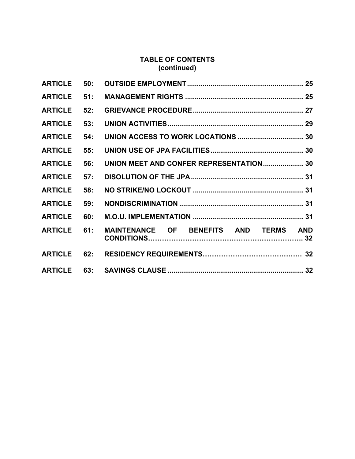# **TABLE OF CONTENTS (continued)**

| <b>ARTICLE</b>     | 50: |                                         |  |
|--------------------|-----|-----------------------------------------|--|
| <b>ARTICLE</b>     | 51: |                                         |  |
| <b>ARTICLE</b>     | 52: |                                         |  |
| <b>ARTICLE</b>     | 53: |                                         |  |
| <b>ARTICLE</b>     | 54: |                                         |  |
| <b>ARTICLE</b>     | 55: |                                         |  |
| <b>ARTICLE</b>     | 56: | UNION MEET AND CONFER REPRESENTATION 30 |  |
| <b>ARTICLE</b>     | 57: |                                         |  |
| <b>ARTICLE</b>     | 58: |                                         |  |
| <b>ARTICLE</b>     | 59: |                                         |  |
| <b>ARTICLE</b>     | 60: |                                         |  |
| <b>ARTICLE</b>     | 61: | MAINTENANCE OF BENEFITS AND TERMS AND   |  |
| <b>ARTICLE</b>     | 62: |                                         |  |
| <b>ARTICLE 63:</b> |     |                                         |  |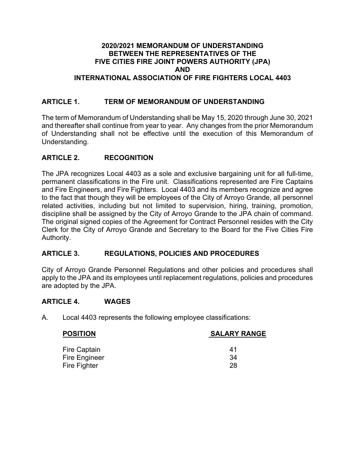# **2020/2021 MEMORANDUM OF UNDERSTANDING BETWEEN THE REPRESENTATIVES OF THE FIVE CITIES FIRE JOINT POWERS AUTHORITY (JPA) AND INTERNATIONAL ASSOCIATION OF FIRE FIGHTERS LOCAL 4403**

# **ARTICLE 1. TERM OF MEMORANDUM OF UNDERSTANDING**

The term of Memorandum of Understanding shall be May 15, 2020 through June 30, 2021 and thereafter shall continue from year to year. Any changes from the prior Memorandum of Understanding shall not be effective until the execution of this Memorandum of Understanding.

# **ARTICLE 2. RECOGNITION**

The JPA recognizes Local 4403 as a sole and exclusive bargaining unit for all full-time, permanent classifications in the Fire unit. Classifications represented are Fire Captains and Fire Engineers, and Fire Fighters. Local 4403 and its members recognize and agree to the fact that though they will be employees of the City of Arroyo Grande, all personnel related activities, including but not limited to supervision, hiring, training, promotion, discipline shall be assigned by the City of Arroyo Grande to the JPA chain of command. The original signed copies of the Agreement for Contract Personnel resides with the City Clerk for the City of Arroyo Grande and Secretary to the Board for the Five Cities Fire Authority.

# **ARTICLE 3. REGULATIONS, POLICIES AND PROCEDURES**

City of Arroyo Grande Personnel Regulations and other policies and procedures shall apply to the JPA and its employees until replacement regulations, policies and procedures are adopted by the JPA.

#### **ARTICLE 4. WAGES**

A. Local 4403 represents the following employee classifications:

| <b>POSITION</b>      | <b>SALARY RANGE</b> |  |  |
|----------------------|---------------------|--|--|
| <b>Fire Captain</b>  | 41                  |  |  |
| <b>Fire Engineer</b> | 34                  |  |  |
| Fire Fighter         | 28                  |  |  |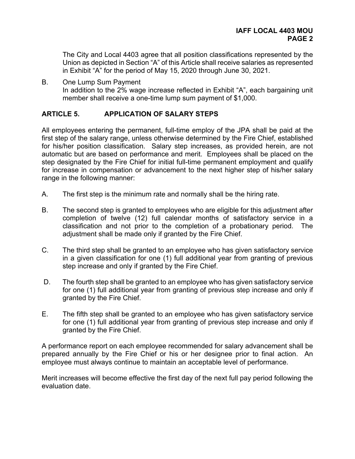The City and Local 4403 agree that all position classifications represented by the Union as depicted in Section "A" of this Article shall receive salaries as represented in Exhibit "A" for the period of May 15, 2020 through June 30, 2021.

B. One Lump Sum Payment In addition to the 2% wage increase reflected in Exhibit "A", each bargaining unit member shall receive a one-time lump sum payment of \$1,000.

# **ARTICLE 5. APPLICATION OF SALARY STEPS**

All employees entering the permanent, full-time employ of the JPA shall be paid at the first step of the salary range, unless otherwise determined by the Fire Chief, established for his/her position classification. Salary step increases, as provided herein, are not automatic but are based on performance and merit. Employees shall be placed on the step designated by the Fire Chief for initial full-time permanent employment and qualify for increase in compensation or advancement to the next higher step of his/her salary range in the following manner:

- A. The first step is the minimum rate and normally shall be the hiring rate.
- B. The second step is granted to employees who are eligible for this adjustment after completion of twelve (12) full calendar months of satisfactory service in a classification and not prior to the completion of a probationary period. The adjustment shall be made only if granted by the Fire Chief.
- C. The third step shall be granted to an employee who has given satisfactory service in a given classification for one (1) full additional year from granting of previous step increase and only if granted by the Fire Chief.
- D. The fourth step shall be granted to an employee who has given satisfactory service for one (1) full additional year from granting of previous step increase and only if granted by the Fire Chief.
- E. The fifth step shall be granted to an employee who has given satisfactory service for one (1) full additional year from granting of previous step increase and only if granted by the Fire Chief.

A performance report on each employee recommended for salary advancement shall be prepared annually by the Fire Chief or his or her designee prior to final action. An employee must always continue to maintain an acceptable level of performance.

Merit increases will become effective the first day of the next full pay period following the evaluation date.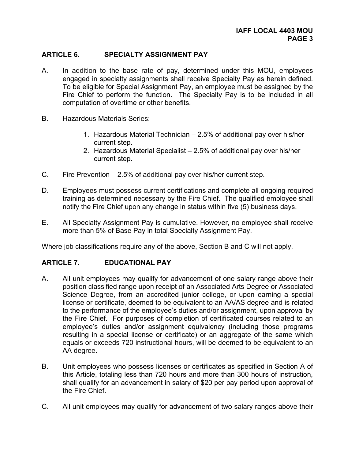# **ARTICLE 6. SPECIALTY ASSIGNMENT PAY**

- A. In addition to the base rate of pay, determined under this MOU, employees engaged in specialty assignments shall receive Specialty Pay as herein defined. To be eligible for Special Assignment Pay, an employee must be assigned by the Fire Chief to perform the function. The Specialty Pay is to be included in all computation of overtime or other benefits.
- B. Hazardous Materials Series:
	- 1. Hazardous Material Technician 2.5% of additional pay over his/her current step.
	- 2. Hazardous Material Specialist 2.5% of additional pay over his/her current step.
- C. Fire Prevention 2.5% of additional pay over his/her current step.
- D. Employees must possess current certifications and complete all ongoing required training as determined necessary by the Fire Chief. The qualified employee shall notify the Fire Chief upon any change in status within five (5) business days.
- E. All Specialty Assignment Pay is cumulative. However, no employee shall receive more than 5% of Base Pay in total Specialty Assignment Pay.

Where job classifications require any of the above, Section B and C will not apply.

#### **ARTICLE 7. EDUCATIONAL PAY**

- A. All unit employees may qualify for advancement of one salary range above their position classified range upon receipt of an Associated Arts Degree or Associated Science Degree, from an accredited junior college, or upon earning a special license or certificate, deemed to be equivalent to an AA/AS degree and is related to the performance of the employee's duties and/or assignment, upon approval by the Fire Chief. For purposes of completion of certificated courses related to an employee's duties and/or assignment equivalency (including those programs resulting in a special license or certificate) or an aggregate of the same which equals or exceeds 720 instructional hours, will be deemed to be equivalent to an AA degree.
- B. Unit employees who possess licenses or certificates as specified in Section A of this Article, totaling less than 720 hours and more than 300 hours of instruction, shall qualify for an advancement in salary of \$20 per pay period upon approval of the Fire Chief.
- C. All unit employees may qualify for advancement of two salary ranges above their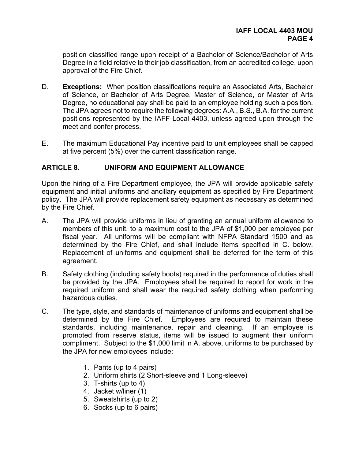position classified range upon receipt of a Bachelor of Science/Bachelor of Arts Degree in a field relative to their job classification, from an accredited college, upon approval of the Fire Chief.

- D. **Exceptions:** When position classifications require an Associated Arts, Bachelor of Science, or Bachelor of Arts Degree, Master of Science, or Master of Arts Degree, no educational pay shall be paid to an employee holding such a position. The JPA agrees not to require the following degrees: A.A., B.S., B.A. for the current positions represented by the IAFF Local 4403, unless agreed upon through the meet and confer process.
- E. The maximum Educational Pay incentive paid to unit employees shall be capped at five percent (5%) over the current classification range.

# **ARTICLE 8. UNIFORM AND EQUIPMENT ALLOWANCE**

Upon the hiring of a Fire Department employee, the JPA will provide applicable safety equipment and initial uniforms and ancillary equipment as specified by Fire Department policy. The JPA will provide replacement safety equipment as necessary as determined by the Fire Chief.

- A. The JPA will provide uniforms in lieu of granting an annual uniform allowance to members of this unit, to a maximum cost to the JPA of \$1,000 per employee per fiscal year. All uniforms will be compliant with NFPA Standard 1500 and as determined by the Fire Chief, and shall include items specified in C. below. Replacement of uniforms and equipment shall be deferred for the term of this agreement.
- B. Safety clothing (including safety boots) required in the performance of duties shall be provided by the JPA. Employees shall be required to report for work in the required uniform and shall wear the required safety clothing when performing hazardous duties.
- C. The type, style, and standards of maintenance of uniforms and equipment shall be determined by the Fire Chief. Employees are required to maintain these standards, including maintenance, repair and cleaning. If an employee is promoted from reserve status, items will be issued to augment their uniform compliment. Subject to the \$1,000 limit in A. above, uniforms to be purchased by the JPA for new employees include:
	- 1. Pants (up to 4 pairs)
	- 2. Uniform shirts (2 Short-sleeve and 1 Long-sleeve)
	- 3. T-shirts (up to 4)
	- 4. Jacket w/liner (1)
	- 5. Sweatshirts (up to 2)
	- 6. Socks (up to 6 pairs)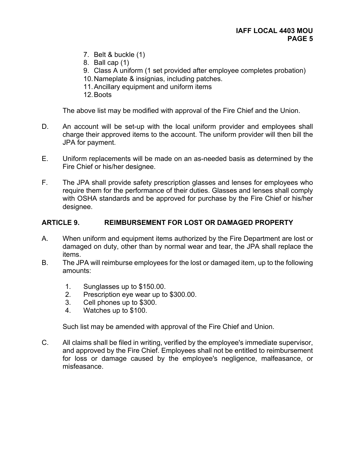- 7. Belt & buckle (1)
- 8. Ball cap (1)
- 9. Class A uniform (1 set provided after employee completes probation)
- 10. Nameplate & insignias, including patches.
- 11. Ancillary equipment and uniform items
- 12. Boots

The above list may be modified with approval of the Fire Chief and the Union.

- D. An account will be set-up with the local uniform provider and employees shall charge their approved items to the account. The uniform provider will then bill the JPA for payment.
- E. Uniform replacements will be made on an as-needed basis as determined by the Fire Chief or his/her designee.
- F. The JPA shall provide safety prescription glasses and lenses for employees who require them for the performance of their duties. Glasses and lenses shall comply with OSHA standards and be approved for purchase by the Fire Chief or his/her designee.

# **ARTICLE 9. REIMBURSEMENT FOR LOST OR DAMAGED PROPERTY**

- A. When uniform and equipment items authorized by the Fire Department are lost or damaged on duty, other than by normal wear and tear, the JPA shall replace the items.
- B. The JPA will reimburse employees for the lost or damaged item, up to the following amounts:
	- 1. Sunglasses up to \$150.00.
	- 2. Prescription eye wear up to \$300.00.
	- 3. Cell phones up to \$300.
	- 4. Watches up to \$100.

Such list may be amended with approval of the Fire Chief and Union.

C. All claims shall be filed in writing, verified by the employee's immediate supervisor, and approved by the Fire Chief. Employees shall not be entitled to reimbursement for loss or damage caused by the employee's negligence, malfeasance, or misfeasance.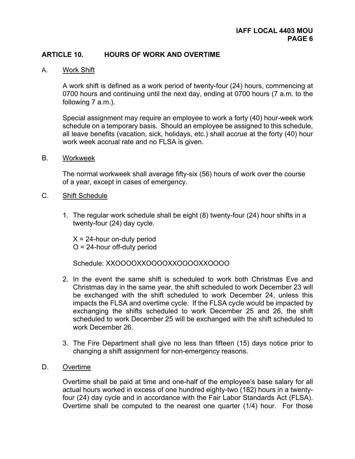# **ARTICLE 10. HOURS OF WORK AND OVERTIME**

A. Work Shift

 A work shift is defined as a work period of twenty-four (24) hours, commencing at 0700 hours and continuing until the next day, ending at 0700 hours (7 a.m. to the following 7 a.m.).

 Special assignment may require an employee to work a forty (40) hour-week work schedule on a temporary basis. Should an employee be assigned to this schedule, all leave benefits (vacation, sick, holidays, etc.) shall accrue at the forty (40) hour work week accrual rate and no FLSA is given.

B. Workweek

The normal workweek shall average fifty-six (56) hours of work over the course of a year, except in cases of emergency.

#### C. Shift Schedule

1. The regular work schedule shall be eight (8) twenty-four (24) hour shifts in a twenty-four (24) day cycle.

 $X = 24$ -hour on-duty period  $O = 24$ -hour off-duty period

Schedule: XXOOOOXXOOOOXXOOOOXXOOOO

- 2. In the event the same shift is scheduled to work both Christmas Eve and Christmas day in the same year, the shift scheduled to work December 23 will be exchanged with the shift scheduled to work December 24, unless this impacts the FLSA and overtime cycle. If the FLSA cycle would be impacted by exchanging the shifts scheduled to work December 25 and 26, the shift scheduled to work December 25 will be exchanged with the shift scheduled to work December 26.
- 3. The Fire Department shall give no less than fifteen (15) days notice prior to changing a shift assignment for non-emergency reasons.
- D. Overtime

Overtime shall be paid at time and one-half of the employee's base salary for all actual hours worked in excess of one hundred eighty-two (182) hours in a twentyfour (24) day cycle and in accordance with the Fair Labor Standards Act (FLSA). Overtime shall be computed to the nearest one quarter (1/4) hour. For those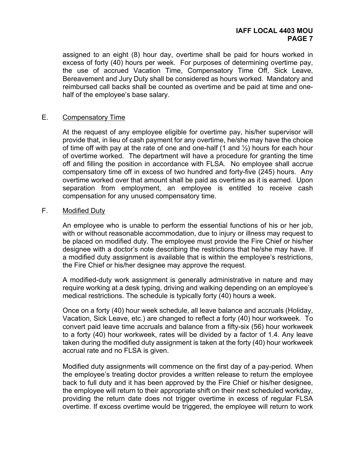assigned to an eight (8) hour day, overtime shall be paid for hours worked in excess of forty (40) hours per week. For purposes of determining overtime pay, the use of accrued Vacation Time, Compensatory Time Off, Sick Leave, Bereavement and Jury Duty shall be considered as hours worked. Mandatory and reimbursed call backs shall be counted as overtime and be paid at time and onehalf of the employee's base salary.

#### E. Compensatory Time

At the request of any employee eligible for overtime pay, his/her supervisor will provide that, in lieu of cash payment for any overtime, he/she may have the choice of time off with pay at the rate of one and one-half  $(1 \text{ and } \frac{1}{2})$  hours for each hour of overtime worked. The department will have a procedure for granting the time off and filling the position in accordance with FLSA. No employee shall accrue compensatory time off in excess of two hundred and forty-five (245) hours. Any overtime worked over that amount shall be paid as overtime as it is earned. Upon separation from employment, an employee is entitled to receive cash compensation for any unused compensatory time.

#### F. Modified Duty

 An employee who is unable to perform the essential functions of his or her job, with or without reasonable accommodation, due to injury or illness may request to be placed on modified duty. The employee must provide the Fire Chief or his/her designee with a doctor's note describing the restrictions that he/she may have. If a modified duty assignment is available that is within the employee's restrictions, the Fire Chief or his/her designee may approve the request.

 A modified-duty work assignment is generally administrative in nature and may require working at a desk typing, driving and walking depending on an employee's medical restrictions. The schedule is typically forty (40) hours a week.

 Once on a forty (40) hour week schedule, all leave balance and accruals (Holiday, Vacation, Sick Leave, etc.) are changed to reflect a forty (40) hour workweek. To convert paid leave time accruals and balance from a fifty-six (56) hour workweek to a forty (40) hour workweek, rates will be divided by a factor of 1.4. Any leave taken during the modified duty assignment is taken at the forty (40) hour workweek accrual rate and no FLSA is given.

 Modified duty assignments will commence on the first day of a pay-period. When the employee's treating doctor provides a written release to return the employee back to full duty and it has been approved by the Fire Chief or his/her designee, the employee will return to their appropriate shift on their next scheduled workday, providing the return date does not trigger overtime in excess of regular FLSA overtime. If excess overtime would be triggered, the employee will return to work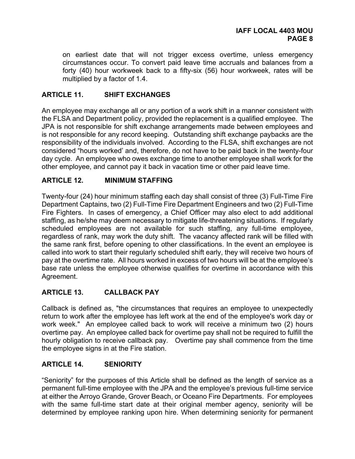on earliest date that will not trigger excess overtime, unless emergency circumstances occur. To convert paid leave time accruals and balances from a forty (40) hour workweek back to a fifty-six (56) hour workweek, rates will be multiplied by a factor of 1.4.

### **ARTICLE 11. SHIFT EXCHANGES**

An employee may exchange all or any portion of a work shift in a manner consistent with the FLSA and Department policy, provided the replacement is a qualified employee. The JPA is not responsible for shift exchange arrangements made between employees and is not responsible for any record keeping. Outstanding shift exchange paybacks are the responsibility of the individuals involved. According to the FLSA, shift exchanges are not considered "hours worked' and, therefore, do not have to be paid back in the twenty-four day cycle. An employee who owes exchange time to another employee shall work for the other employee, and cannot pay it back in vacation time or other paid leave time.

# **ARTICLE 12. MINIMUM STAFFING**

Twenty-four (24) hour minimum staffing each day shall consist of three (3) Full-Time Fire Department Captains, two (2) Full-Time Fire Department Engineers and two (2) Full-Time Fire Fighters. In cases of emergency, a Chief Officer may also elect to add additional staffing, as he/she may deem necessary to mitigate life-threatening situations. If regularly scheduled employees are not available for such staffing, any full-time employee, regardless of rank, may work the duty shift. The vacancy affected rank will be filled with the same rank first, before opening to other classifications. In the event an employee is called into work to start their regularly scheduled shift early, they will receive two hours of pay at the overtime rate. All hours worked in excess of two hours will be at the employee's base rate unless the employee otherwise qualifies for overtime in accordance with this Agreement.

#### **ARTICLE 13. CALLBACK PAY**

Callback is defined as, "the circumstances that requires an employee to unexpectedly return to work after the employee has left work at the end of the employee's work day or work week." An employee called back to work will receive a minimum two (2) hours overtime pay. An employee called back for overtime pay shall not be required to fulfill the hourly obligation to receive callback pay. Overtime pay shall commence from the time the employee signs in at the Fire station.

#### **ARTICLE 14. SENIORITY**

"Seniority" for the purposes of this Article shall be defined as the length of service as a permanent full-time employee with the JPA and the employee's previous full-time service at either the Arroyo Grande, Grover Beach, or Oceano Fire Departments. For employees with the same full-time start date at their original member agency, seniority will be determined by employee ranking upon hire. When determining seniority for permanent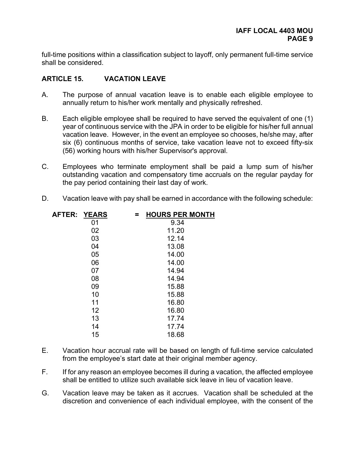full-time positions within a classification subject to layoff, only permanent full-time service shall be considered.

# **ARTICLE 15. VACATION LEAVE**

- A. The purpose of annual vacation leave is to enable each eligible employee to annually return to his/her work mentally and physically refreshed.
- B. Each eligible employee shall be required to have served the equivalent of one (1) year of continuous service with the JPA in order to be eligible for his/her full annual vacation leave. However, in the event an employee so chooses, he/she may, after six (6) continuous months of service, take vacation leave not to exceed fifty-six (56) working hours with his/her Supervisor's approval.
- C. Employees who terminate employment shall be paid a lump sum of his/her outstanding vacation and compensatory time accruals on the regular payday for the pay period containing their last day of work.
- D. Vacation leave with pay shall be earned in accordance with the following schedule:

| AFTER: YEARS |    | = | <b>HOURS PER MONTH</b> |
|--------------|----|---|------------------------|
|              | 01 |   | 9.34                   |
|              | 02 |   | 11.20                  |
|              | 03 |   | 12.14                  |
|              | 04 |   | 13.08                  |
|              | 05 |   | 14.00                  |
|              | 06 |   | 14.00                  |
|              | 07 |   | 14.94                  |
|              | 08 |   | 14.94                  |
|              | 09 |   | 15.88                  |
|              | 10 |   | 15.88                  |
|              | 11 |   | 16.80                  |
|              | 12 |   | 16.80                  |
|              | 13 |   | 17.74                  |
|              | 14 |   | 17.74                  |
|              | 15 |   | 18.68                  |
|              |    |   |                        |

- E. Vacation hour accrual rate will be based on length of full-time service calculated from the employee's start date at their original member agency.
- F. If for any reason an employee becomes ill during a vacation, the affected employee shall be entitled to utilize such available sick leave in lieu of vacation leave.
- G. Vacation leave may be taken as it accrues. Vacation shall be scheduled at the discretion and convenience of each individual employee, with the consent of the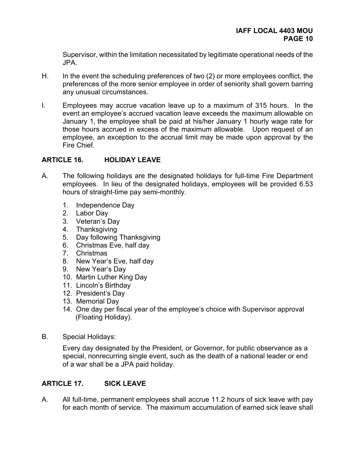Supervisor, within the limitation necessitated by legitimate operational needs of the JPA.

- H. In the event the scheduling preferences of two (2) or more employees conflict, the preferences of the more senior employee in order of seniority shall govern barring any unusual circumstances.
- I. Employees may accrue vacation leave up to a maximum of 315 hours. In the event an employee's accrued vacation leave exceeds the maximum allowable on January 1, the employee shall be paid at his/her January 1 hourly wage rate for those hours accrued in excess of the maximum allowable. Upon request of an employee, an exception to the accrual limit may be made upon approval by the Fire Chief.

# **ARTICLE 16. HOLIDAY LEAVE**

- A. The following holidays are the designated holidays for full-time Fire Department employees. In lieu of the designated holidays, employees will be provided 6.53 hours of straight-time pay semi-monthly.
	- 1. Independence Day
	- 2. Labor Day
	- 3. Veteran's Day
	- 4. Thanksgiving
	- 5. Day following Thanksgiving
	- 6. Christmas Eve, half day
	- 7. Christmas
	- 8. New Year's Eve, half day
	- 9. New Year's Day
	- 10. Martin Luther King Day
	- 11. Lincoln's Birthday
	- 12. President's Day
	- 13. Memorial Day
	- 14. One day per fiscal year of the employee's choice with Supervisor approval (Floating Holiday).
- B. Special Holidays:

Every day designated by the President, or Governor, for public observance as a special, nonrecurring single event, such as the death of a national leader or end of a war shall be a JPA paid holiday.

# **ARTICLE 17. SICK LEAVE**

A. All full-time, permanent employees shall accrue 11.2 hours of sick leave with pay for each month of service. The maximum accumulation of earned sick leave shall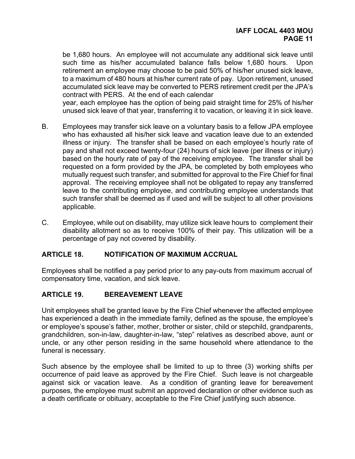be 1,680 hours. An employee will not accumulate any additional sick leave until such time as his/her accumulated balance falls below 1,680 hours. Upon retirement an employee may choose to be paid 50% of his/her unused sick leave, to a maximum of 480 hours at his/her current rate of pay. Upon retirement, unused accumulated sick leave may be converted to PERS retirement credit per the JPA's contract with PERS. At the end of each calendar

year, each employee has the option of being paid straight time for 25% of his/her unused sick leave of that year, transferring it to vacation, or leaving it in sick leave.

- B. Employees may transfer sick leave on a voluntary basis to a fellow JPA employee who has exhausted all his/her sick leave and vacation leave due to an extended illness or injury. The transfer shall be based on each employee's hourly rate of pay and shall not exceed twenty-four (24) hours of sick leave (per illness or injury) based on the hourly rate of pay of the receiving employee. The transfer shall be requested on a form provided by the JPA, be completed by both employees who mutually request such transfer, and submitted for approval to the Fire Chief for final approval. The receiving employee shall not be obligated to repay any transferred leave to the contributing employee, and contributing employee understands that such transfer shall be deemed as if used and will be subject to all other provisions applicable.
- C. Employee, while out on disability, may utilize sick leave hours to complement their disability allotment so as to receive 100% of their pay. This utilization will be a percentage of pay not covered by disability.

#### **ARTICLE 18. NOTIFICATION OF MAXIMUM ACCRUAL**

Employees shall be notified a pay period prior to any pay-outs from maximum accrual of compensatory time, vacation, and sick leave.

# **ARTICLE 19. BEREAVEMENT LEAVE**

Unit employees shall be granted leave by the Fire Chief whenever the affected employee has experienced a death in the immediate family, defined as the spouse, the employee's or employee's spouse's father, mother, brother or sister, child or stepchild, grandparents, grandchildren, son-in-law, daughter-in-law, "step" relatives as described above, aunt or uncle, or any other person residing in the same household where attendance to the funeral is necessary.

Such absence by the employee shall be limited to up to three (3) working shifts per occurrence of paid leave as approved by the Fire Chief. Such leave is not chargeable against sick or vacation leave. As a condition of granting leave for bereavement purposes, the employee must submit an approved declaration or other evidence such as a death certificate or obituary, acceptable to the Fire Chief justifying such absence.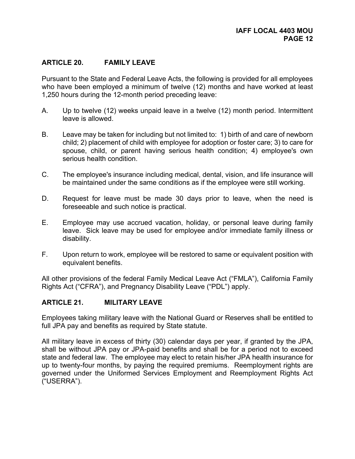# **ARTICLE 20. FAMILY LEAVE**

Pursuant to the State and Federal Leave Acts, the following is provided for all employees who have been employed a minimum of twelve (12) months and have worked at least 1,250 hours during the 12-month period preceding leave:

- A. Up to twelve (12) weeks unpaid leave in a twelve (12) month period. Intermittent leave is allowed.
- B. Leave may be taken for including but not limited to: 1) birth of and care of newborn child; 2) placement of child with employee for adoption or foster care; 3) to care for spouse, child, or parent having serious health condition; 4) employee's own serious health condition.
- C. The employee's insurance including medical, dental, vision, and life insurance will be maintained under the same conditions as if the employee were still working.
- D. Request for leave must be made 30 days prior to leave, when the need is foreseeable and such notice is practical.
- E. Employee may use accrued vacation, holiday, or personal leave during family leave. Sick leave may be used for employee and/or immediate family illness or disability.
- F. Upon return to work, employee will be restored to same or equivalent position with equivalent benefits.

All other provisions of the federal Family Medical Leave Act ("FMLA"), California Family Rights Act ("CFRA"), and Pregnancy Disability Leave ("PDL") apply.

#### **ARTICLE 21. MILITARY LEAVE**

Employees taking military leave with the National Guard or Reserves shall be entitled to full JPA pay and benefits as required by State statute.

All military leave in excess of thirty (30) calendar days per year, if granted by the JPA, shall be without JPA pay or JPA-paid benefits and shall be for a period not to exceed state and federal law. The employee may elect to retain his/her JPA health insurance for up to twenty-four months, by paying the required premiums. Reemployment rights are governed under the Uniformed Services Employment and Reemployment Rights Act ("USERRA").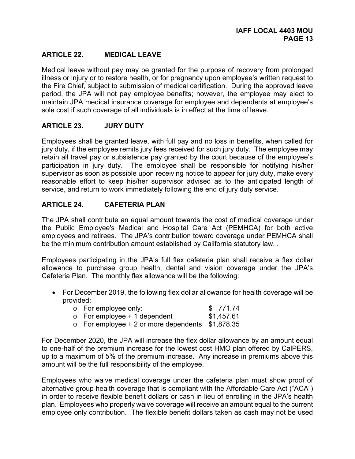# **ARTICLE 22. MEDICAL LEAVE**

Medical leave without pay may be granted for the purpose of recovery from prolonged illness or injury or to restore health, or for pregnancy upon employee's written request to the Fire Chief, subject to submission of medical certification. During the approved leave period, the JPA will not pay employee benefits; however, the employee may elect to maintain JPA medical insurance coverage for employee and dependents at employee's sole cost if such coverage of all individuals is in effect at the time of leave.

# **ARTICLE 23. JURY DUTY**

Employees shall be granted leave, with full pay and no loss in benefits, when called for jury duty, if the employee remits jury fees received for such jury duty. The employee may retain all travel pay or subsistence pay granted by the court because of the employee's participation in jury duty. The employee shall be responsible for notifying his/her supervisor as soon as possible upon receiving notice to appear for jury duty, make every reasonable effort to keep his/her supervisor advised as to the anticipated length of service, and return to work immediately following the end of jury duty service.

# **ARTICLE 24. CAFETERIA PLAN**

The JPA shall contribute an equal amount towards the cost of medical coverage under the Public Employee's Medical and Hospital Care Act (PEMHCA) for both active employees and retirees. The JPA's contribution toward coverage under PEMHCA shall be the minimum contribution amount established by California statutory law. .

Employees participating in the JPA's full flex cafeteria plan shall receive a flex dollar allowance to purchase group health, dental and vision coverage under the JPA's Cafeteria Plan. The monthly flex allowance will be the following:

 For December 2019, the following flex dollar allowance for health coverage will be provided:

|  | o For employee only: |  | \$771.74 |
|--|----------------------|--|----------|
|--|----------------------|--|----------|

- $\circ$  For employee + 1 dependent \$1,457.61
- $\circ$  For employee + 2 or more dependents \$1,878.35

For December 2020, the JPA will increase the flex dollar allowance by an amount equal to one-half of the premium increase for the lowest cost HMO plan offered by CalPERS, up to a maximum of 5% of the premium increase. Any increase in premiums above this amount will be the full responsibility of the employee.

Employees who waive medical coverage under the cafeteria plan must show proof of alternative group health coverage that is compliant with the Affordable Care Act ("ACA") in order to receive flexible benefit dollars or cash in lieu of enrolling in the JPA's health plan. Employees who properly waive coverage will receive an amount equal to the current employee only contribution. The flexible benefit dollars taken as cash may not be used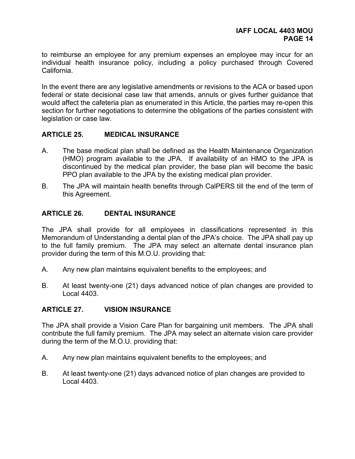to reimburse an employee for any premium expenses an employee may incur for an individual health insurance policy, including a policy purchased through Covered California.

In the event there are any legislative amendments or revisions to the ACA or based upon federal or state decisional case law that amends, annuls or gives further guidance that would affect the cafeteria plan as enumerated in this Article, the parties may re-open this section for further negotiations to determine the obligations of the parties consistent with legislation or case law.

#### **ARTICLE 25. MEDICAL INSURANCE**

- A. The base medical plan shall be defined as the Health Maintenance Organization (HMO) program available to the JPA. If availability of an HMO to the JPA is discontinued by the medical plan provider, the base plan will become the basic PPO plan available to the JPA by the existing medical plan provider.
- B. The JPA will maintain health benefits through CalPERS till the end of the term of this Agreement.

#### **ARTICLE 26. DENTAL INSURANCE**

The JPA shall provide for all employees in classifications represented in this Memorandum of Understanding a dental plan of the JPA's choice. The JPA shall pay up to the full family premium. The JPA may select an alternate dental insurance plan provider during the term of this M.O.U. providing that:

- A. Any new plan maintains equivalent benefits to the employees; and
- B. At least twenty-one (21) days advanced notice of plan changes are provided to Local 4403.

#### **ARTICLE 27. VISION INSURANCE**

The JPA shall provide a Vision Care Plan for bargaining unit members. The JPA shall contribute the full family premium. The JPA may select an alternate vision care provider during the term of the M.O.U. providing that:

- A. Any new plan maintains equivalent benefits to the employees; and
- B. At least twenty-one (21) days advanced notice of plan changes are provided to Local 4403.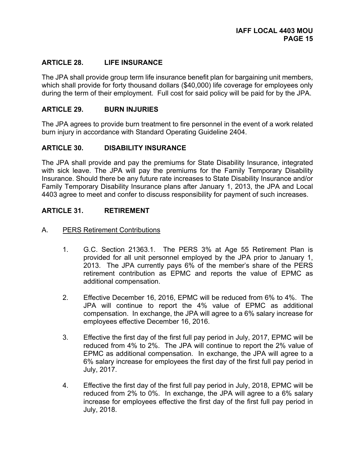### **ARTICLE 28. LIFE INSURANCE**

The JPA shall provide group term life insurance benefit plan for bargaining unit members, which shall provide for forty thousand dollars (\$40,000) life coverage for employees only during the term of their employment. Full cost for said policy will be paid for by the JPA.

### **ARTICLE 29. BURN INJURIES**

The JPA agrees to provide burn treatment to fire personnel in the event of a work related burn injury in accordance with Standard Operating Guideline 2404.

#### **ARTICLE 30. DISABILITY INSURANCE**

The JPA shall provide and pay the premiums for State Disability Insurance, integrated with sick leave. The JPA will pay the premiums for the Family Temporary Disability Insurance. Should there be any future rate increases to State Disability Insurance and/or Family Temporary Disability Insurance plans after January 1, 2013, the JPA and Local 4403 agree to meet and confer to discuss responsibility for payment of such increases.

#### **ARTICLE 31. RETIREMENT**

- A. PERS Retirement Contributions
	- 1. G.C. Section 21363.1. The PERS 3% at Age 55 Retirement Plan is provided for all unit personnel employed by the JPA prior to January 1, 2013. The JPA currently pays 6% of the member's share of the PERS retirement contribution as EPMC and reports the value of EPMC as additional compensation.
	- 2. Effective December 16, 2016, EPMC will be reduced from 6% to 4%. The JPA will continue to report the 4% value of EPMC as additional compensation. In exchange, the JPA will agree to a 6% salary increase for employees effective December 16, 2016.
	- 3. Effective the first day of the first full pay period in July, 2017, EPMC will be reduced from 4% to 2%. The JPA will continue to report the 2% value of EPMC as additional compensation. In exchange, the JPA will agree to a 6% salary increase for employees the first day of the first full pay period in July, 2017.
	- 4. Effective the first day of the first full pay period in July, 2018, EPMC will be reduced from 2% to 0%. In exchange, the JPA will agree to a 6% salary increase for employees effective the first day of the first full pay period in July, 2018.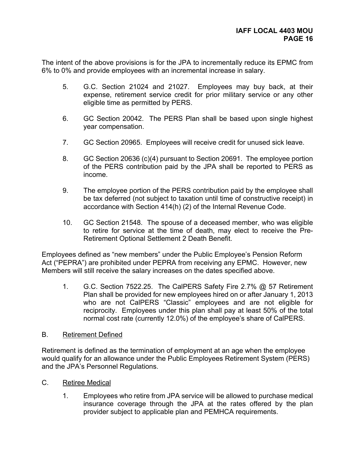The intent of the above provisions is for the JPA to incrementally reduce its EPMC from 6% to 0% and provide employees with an incremental increase in salary.

- 5. G.C. Section 21024 and 21027. Employees may buy back, at their expense, retirement service credit for prior military service or any other eligible time as permitted by PERS.
- 6. GC Section 20042. The PERS Plan shall be based upon single highest year compensation.
- 7. GC Section 20965. Employees will receive credit for unused sick leave.
- 8. GC Section 20636 (c)(4) pursuant to Section 20691. The employee portion of the PERS contribution paid by the JPA shall be reported to PERS as income.
- 9. The employee portion of the PERS contribution paid by the employee shall be tax deferred (not subject to taxation until time of constructive receipt) in accordance with Section 414(h) (2) of the Internal Revenue Code.
- 10. GC Section 21548. The spouse of a deceased member, who was eligible to retire for service at the time of death, may elect to receive the Pre-Retirement Optional Settlement 2 Death Benefit.

Employees defined as "new members" under the Public Employee's Pension Reform Act ("PEPRA") are prohibited under PEPRA from receiving any EPMC. However, new Members will still receive the salary increases on the dates specified above.

1. G.C. Section 7522.25. The CalPERS Safety Fire 2.7% @ 57 Retirement Plan shall be provided for new employees hired on or after January 1, 2013 who are not CalPERS "Classic" employees and are not eligible for reciprocity. Employees under this plan shall pay at least 50% of the total normal cost rate (currently 12.0%) of the employee's share of CalPERS.

#### B. Retirement Defined

Retirement is defined as the termination of employment at an age when the employee would qualify for an allowance under the Public Employees Retirement System (PERS) and the JPA's Personnel Regulations.

- C. Retiree Medical
	- 1. Employees who retire from JPA service will be allowed to purchase medical insurance coverage through the JPA at the rates offered by the plan provider subject to applicable plan and PEMHCA requirements.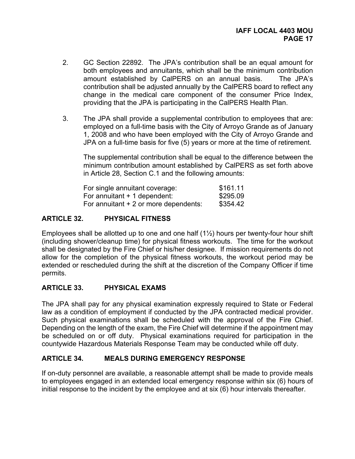- 2. GC Section 22892. The JPA's contribution shall be an equal amount for both employees and annuitants, which shall be the minimum contribution amount established by CalPERS on an annual basis. The JPA's contribution shall be adjusted annually by the CalPERS board to reflect any change in the medical care component of the consumer Price Index, providing that the JPA is participating in the CalPERS Health Plan.
- 3. The JPA shall provide a supplemental contribution to employees that are: employed on a full-time basis with the City of Arroyo Grande as of January 1, 2008 and who have been employed with the City of Arroyo Grande and JPA on a full-time basis for five (5) years or more at the time of retirement.

The supplemental contribution shall be equal to the difference between the minimum contribution amount established by CalPERS as set forth above in Article 28, Section C.1 and the following amounts:

| For single annuitant coverage:        | \$161.11 |
|---------------------------------------|----------|
| For annuitant $+$ 1 dependent:        | \$295.09 |
| For annuitant + 2 or more dependents: | \$354.42 |

# **ARTICLE 32. PHYSICAL FITNESS**

Employees shall be allotted up to one and one half  $(1\frac{1}{2})$  hours per twenty-four hour shift (including shower/cleanup time) for physical fitness workouts. The time for the workout shall be designated by the Fire Chief or his/her designee. If mission requirements do not allow for the completion of the physical fitness workouts, the workout period may be extended or rescheduled during the shift at the discretion of the Company Officer if time permits.

# **ARTICLE 33. PHYSICAL EXAMS**

The JPA shall pay for any physical examination expressly required to State or Federal law as a condition of employment if conducted by the JPA contracted medical provider. Such physical examinations shall be scheduled with the approval of the Fire Chief. Depending on the length of the exam, the Fire Chief will determine if the appointment may be scheduled on or off duty. Physical examinations required for participation in the countywide Hazardous Materials Response Team may be conducted while off duty.

# **ARTICLE 34. MEALS DURING EMERGENCY RESPONSE**

If on-duty personnel are available, a reasonable attempt shall be made to provide meals to employees engaged in an extended local emergency response within six (6) hours of initial response to the incident by the employee and at six (6) hour intervals thereafter.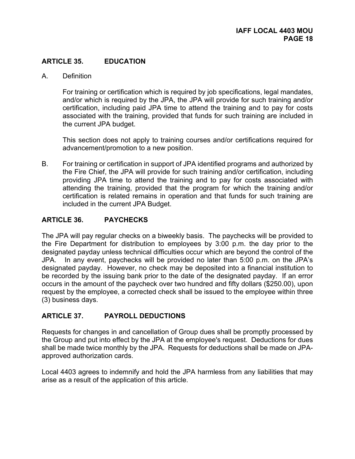# **ARTICLE 35. EDUCATION**

A. Definition

For training or certification which is required by job specifications, legal mandates, and/or which is required by the JPA, the JPA will provide for such training and/or certification, including paid JPA time to attend the training and to pay for costs associated with the training, provided that funds for such training are included in the current JPA budget.

This section does not apply to training courses and/or certifications required for advancement/promotion to a new position.

B. For training or certification in support of JPA identified programs and authorized by the Fire Chief, the JPA will provide for such training and/or certification, including providing JPA time to attend the training and to pay for costs associated with attending the training, provided that the program for which the training and/or certification is related remains in operation and that funds for such training are included in the current JPA Budget.

#### **ARTICLE 36. PAYCHECKS**

The JPA will pay regular checks on a biweekly basis. The paychecks will be provided to the Fire Department for distribution to employees by 3:00 p.m. the day prior to the designated payday unless technical difficulties occur which are beyond the control of the JPA. In any event, paychecks will be provided no later than 5:00 p.m. on the JPA's designated payday. However, no check may be deposited into a financial institution to be recorded by the issuing bank prior to the date of the designated payday. If an error occurs in the amount of the paycheck over two hundred and fifty dollars (\$250.00), upon request by the employee, a corrected check shall be issued to the employee within three (3) business days.

# **ARTICLE 37. PAYROLL DEDUCTIONS**

Requests for changes in and cancellation of Group dues shall be promptly processed by the Group and put into effect by the JPA at the employee's request. Deductions for dues shall be made twice monthly by the JPA. Requests for deductions shall be made on JPAapproved authorization cards.

Local 4403 agrees to indemnify and hold the JPA harmless from any liabilities that may arise as a result of the application of this article.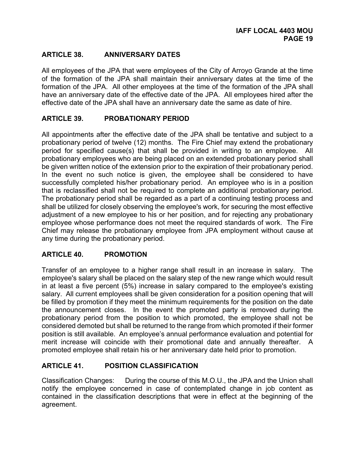# **ARTICLE 38. ANNIVERSARY DATES**

All employees of the JPA that were employees of the City of Arroyo Grande at the time of the formation of the JPA shall maintain their anniversary dates at the time of the formation of the JPA. All other employees at the time of the formation of the JPA shall have an anniversary date of the effective date of the JPA. All employees hired after the effective date of the JPA shall have an anniversary date the same as date of hire.

# **ARTICLE 39. PROBATIONARY PERIOD**

All appointments after the effective date of the JPA shall be tentative and subject to a probationary period of twelve (12) months. The Fire Chief may extend the probationary period for specified cause(s) that shall be provided in writing to an employee. All probationary employees who are being placed on an extended probationary period shall be given written notice of the extension prior to the expiration of their probationary period. In the event no such notice is given, the employee shall be considered to have successfully completed his/her probationary period. An employee who is in a position that is reclassified shall not be required to complete an additional probationary period. The probationary period shall be regarded as a part of a continuing testing process and shall be utilized for closely observing the employee's work, for securing the most effective adjustment of a new employee to his or her position, and for rejecting any probationary employee whose performance does not meet the required standards of work. The Fire Chief may release the probationary employee from JPA employment without cause at any time during the probationary period.

#### **ARTICLE 40. PROMOTION**

Transfer of an employee to a higher range shall result in an increase in salary. The employee's salary shall be placed on the salary step of the new range which would result in at least a five percent (5%) increase in salary compared to the employee's existing salary. All current employees shall be given consideration for a position opening that will be filled by promotion if they meet the minimum requirements for the position on the date the announcement closes. In the event the promoted party is removed during the probationary period from the position to which promoted, the employee shall not be considered demoted but shall be returned to the range from which promoted if their former position is still available. An employee's annual performance evaluation and potential for merit increase will coincide with their promotional date and annually thereafter. A promoted employee shall retain his or her anniversary date held prior to promotion.

# **ARTICLE 41. POSITION CLASSIFICATION**

Classification Changes: During the course of this M.O.U., the JPA and the Union shall notify the employee concerned in case of contemplated change in job content as contained in the classification descriptions that were in effect at the beginning of the agreement.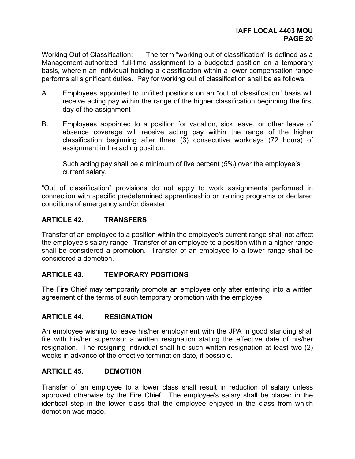Working Out of Classification: The term "working out of classification" is defined as a Management-authorized, full-time assignment to a budgeted position on a temporary basis, wherein an individual holding a classification within a lower compensation range performs all significant duties. Pay for working out of classification shall be as follows:

- A. Employees appointed to unfilled positions on an "out of classification" basis will receive acting pay within the range of the higher classification beginning the first day of the assignment
- B. Employees appointed to a position for vacation, sick leave, or other leave of absence coverage will receive acting pay within the range of the higher classification beginning after three (3) consecutive workdays (72 hours) of assignment in the acting position.

 Such acting pay shall be a minimum of five percent (5%) over the employee's current salary.

"Out of classification" provisions do not apply to work assignments performed in connection with specific predetermined apprenticeship or training programs or declared conditions of emergency and/or disaster.

# **ARTICLE 42. TRANSFERS**

Transfer of an employee to a position within the employee's current range shall not affect the employee's salary range. Transfer of an employee to a position within a higher range shall be considered a promotion. Transfer of an employee to a lower range shall be considered a demotion.

# **ARTICLE 43. TEMPORARY POSITIONS**

The Fire Chief may temporarily promote an employee only after entering into a written agreement of the terms of such temporary promotion with the employee.

# **ARTICLE 44. RESIGNATION**

An employee wishing to leave his/her employment with the JPA in good standing shall file with his/her supervisor a written resignation stating the effective date of his/her resignation.The resigning individual shall file such written resignation at least two (2) weeks in advance of the effective termination date, if possible.

#### **ARTICLE 45. DEMOTION**

Transfer of an employee to a lower class shall result in reduction of salary unless approved otherwise by the Fire Chief. The employee's salary shall be placed in the identical step in the lower class that the employee enjoyed in the class from which demotion was made.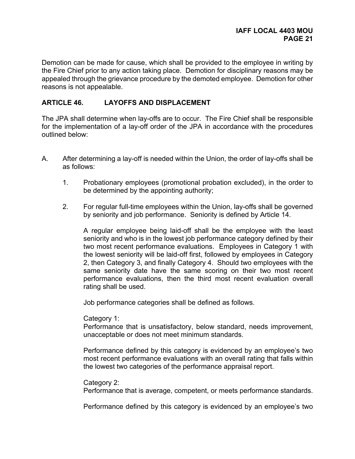Demotion can be made for cause, which shall be provided to the employee in writing by the Fire Chief prior to any action taking place. Demotion for disciplinary reasons may be appealed through the grievance procedure by the demoted employee. Demotion for other reasons is not appealable.

### **ARTICLE 46. LAYOFFS AND DISPLACEMENT**

The JPA shall determine when lay-offs are to occur. The Fire Chief shall be responsible for the implementation of a lay-off order of the JPA in accordance with the procedures outlined below:

- A. After determining a lay-off is needed within the Union, the order of lay-offs shall be as follows:
	- 1. Probationary employees (promotional probation excluded), in the order to be determined by the appointing authority;
	- 2. For regular full-time employees within the Union, lay-offs shall be governed by seniority and job performance. Seniority is defined by Article 14.

A regular employee being laid-off shall be the employee with the least seniority and who is in the lowest job performance category defined by their two most recent performance evaluations. Employees in Category 1 with the lowest seniority will be laid-off first, followed by employees in Category 2, then Category 3, and finally Category 4. Should two employees with the same seniority date have the same scoring on their two most recent performance evaluations, then the third most recent evaluation overall rating shall be used.

Job performance categories shall be defined as follows.

Category 1:

Performance that is unsatisfactory, below standard, needs improvement, unacceptable or does not meet minimum standards.

Performance defined by this category is evidenced by an employee's two most recent performance evaluations with an overall rating that falls within the lowest two categories of the performance appraisal report.

Category 2:

Performance that is average, competent, or meets performance standards.

Performance defined by this category is evidenced by an employee's two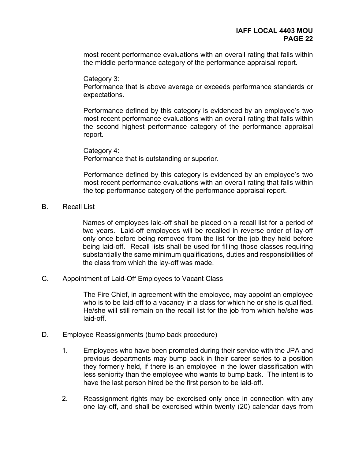most recent performance evaluations with an overall rating that falls within the middle performance category of the performance appraisal report.

Category 3:

Performance that is above average or exceeds performance standards or expectations.

Performance defined by this category is evidenced by an employee's two most recent performance evaluations with an overall rating that falls within the second highest performance category of the performance appraisal report.

Category 4: Performance that is outstanding or superior.

Performance defined by this category is evidenced by an employee's two most recent performance evaluations with an overall rating that falls within the top performance category of the performance appraisal report.

#### B. Recall List

 Names of employees laid-off shall be placed on a recall list for a period of two years. Laid-off employees will be recalled in reverse order of lay-off only once before being removed from the list for the job they held before being laid-off. Recall lists shall be used for filling those classes requiring substantially the same minimum qualifications, duties and responsibilities of the class from which the lay-off was made.

C. Appointment of Laid-Off Employees to Vacant Class

 The Fire Chief, in agreement with the employee, may appoint an employee who is to be laid-off to a vacancy in a class for which he or she is qualified. He/she will still remain on the recall list for the job from which he/she was laid-off.

- D. Employee Reassignments (bump back procedure)
	- 1. Employees who have been promoted during their service with the JPA and previous departments may bump back in their career series to a position they formerly held, if there is an employee in the lower classification with less seniority than the employee who wants to bump back. The intent is to have the last person hired be the first person to be laid-off.
	- 2. Reassignment rights may be exercised only once in connection with any one lay-off, and shall be exercised within twenty (20) calendar days from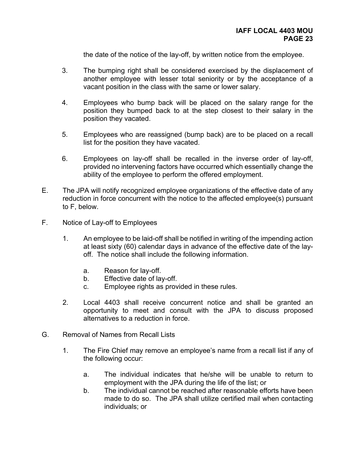the date of the notice of the lay-off, by written notice from the employee.

- 3. The bumping right shall be considered exercised by the displacement of another employee with lesser total seniority or by the acceptance of a vacant position in the class with the same or lower salary.
- 4. Employees who bump back will be placed on the salary range for the position they bumped back to at the step closest to their salary in the position they vacated.
- 5. Employees who are reassigned (bump back) are to be placed on a recall list for the position they have vacated.
- 6. Employees on lay-off shall be recalled in the inverse order of lay-off, provided no intervening factors have occurred which essentially change the ability of the employee to perform the offered employment.
- E. The JPA will notify recognized employee organizations of the effective date of any reduction in force concurrent with the notice to the affected employee(s) pursuant to F, below.
- F. Notice of Lay-off to Employees
	- 1. An employee to be laid-off shall be notified in writing of the impending action at least sixty (60) calendar days in advance of the effective date of the layoff. The notice shall include the following information.
		- a. Reason for lay-off.
		- b. Effective date of lay-off.
		- c. Employee rights as provided in these rules.
	- 2. Local 4403 shall receive concurrent notice and shall be granted an opportunity to meet and consult with the JPA to discuss proposed alternatives to a reduction in force.
- G. Removal of Names from Recall Lists
	- 1. The Fire Chief may remove an employee's name from a recall list if any of the following occur:
		- a. The individual indicates that he/she will be unable to return to employment with the JPA during the life of the list; or
		- b. The individual cannot be reached after reasonable efforts have been made to do so. The JPA shall utilize certified mail when contacting individuals; or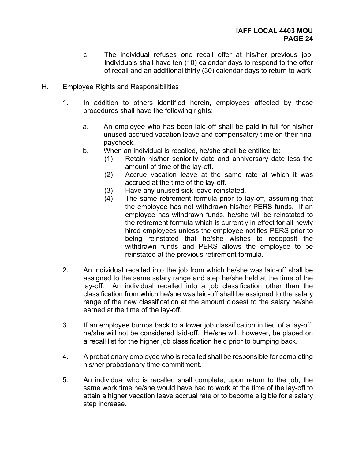- c. The individual refuses one recall offer at his/her previous job. Individuals shall have ten (10) calendar days to respond to the offer of recall and an additional thirty (30) calendar days to return to work.
- H. Employee Rights and Responsibilities
	- 1. In addition to others identified herein, employees affected by these procedures shall have the following rights:
		- a. An employee who has been laid-off shall be paid in full for his/her unused accrued vacation leave and compensatory time on their final paycheck.
		- b. When an individual is recalled, he/she shall be entitled to:
			- (1) Retain his/her seniority date and anniversary date less the amount of time of the lay-off.
			- (2) Accrue vacation leave at the same rate at which it was accrued at the time of the lay-off.
			- (3) Have any unused sick leave reinstated.
			- (4) The same retirement formula prior to lay-off, assuming that the employee has not withdrawn his/her PERS funds. If an employee has withdrawn funds, he/she will be reinstated to the retirement formula which is currently in effect for all newly hired employees unless the employee notifies PERS prior to being reinstated that he/she wishes to redeposit the withdrawn funds and PERS allows the employee to be reinstated at the previous retirement formula.
	- 2. An individual recalled into the job from which he/she was laid-off shall be assigned to the same salary range and step he/she held at the time of the lay-off. An individual recalled into a job classification other than the classification from which he/she was laid-off shall be assigned to the salary range of the new classification at the amount closest to the salary he/she earned at the time of the lay-off.
	- 3. If an employee bumps back to a lower job classification in lieu of a lay-off, he/she will not be considered laid-off. He/she will, however, be placed on a recall list for the higher job classification held prior to bumping back.
	- 4. A probationary employee who is recalled shall be responsible for completing his/her probationary time commitment.
	- 5. An individual who is recalled shall complete, upon return to the job, the same work time he/she would have had to work at the time of the lay-off to attain a higher vacation leave accrual rate or to become eligible for a salary step increase.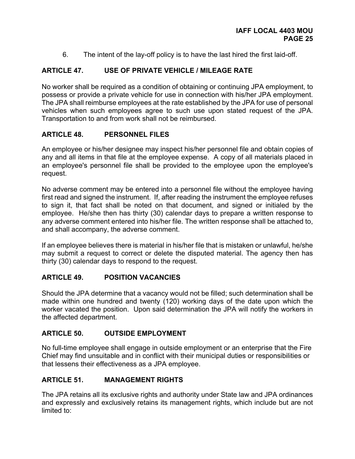6. The intent of the lay-off policy is to have the last hired the first laid-off.

# **ARTICLE 47. USE OF PRIVATE VEHICLE / MILEAGE RATE**

No worker shall be required as a condition of obtaining or continuing JPA employment, to possess or provide a private vehicle for use in connection with his/her JPA employment. The JPA shall reimburse employees at the rate established by the JPA for use of personal vehicles when such employees agree to such use upon stated request of the JPA. Transportation to and from work shall not be reimbursed.

#### **ARTICLE 48. PERSONNEL FILES**

An employee or his/her designee may inspect his/her personnel file and obtain copies of any and all items in that file at the employee expense. A copy of all materials placed in an employee's personnel file shall be provided to the employee upon the employee's request.

No adverse comment may be entered into a personnel file without the employee having first read and signed the instrument. If, after reading the instrument the employee refuses to sign it, that fact shall be noted on that document, and signed or initialed by the employee. He/she then has thirty (30) calendar days to prepare a written response to any adverse comment entered into his/her file. The written response shall be attached to, and shall accompany, the adverse comment.

If an employee believes there is material in his/her file that is mistaken or unlawful, he/she may submit a request to correct or delete the disputed material. The agency then has thirty (30) calendar days to respond to the request.

#### **ARTICLE 49. POSITION VACANCIES**

Should the JPA determine that a vacancy would not be filled; such determination shall be made within one hundred and twenty (120) working days of the date upon which the worker vacated the position. Upon said determination the JPA will notify the workers in the affected department.

#### **ARTICLE 50. OUTSIDE EMPLOYMENT**

No full-time employee shall engage in outside employment or an enterprise that the Fire Chief may find unsuitable and in conflict with their municipal duties or responsibilities or that lessens their effectiveness as a JPA employee.

# **ARTICLE 51. MANAGEMENT RIGHTS**

The JPA retains all its exclusive rights and authority under State law and JPA ordinances and expressly and exclusively retains its management rights, which include but are not limited to: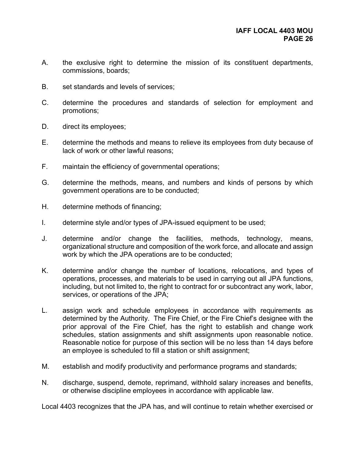- A. the exclusive right to determine the mission of its constituent departments, commissions, boards;
- B. set standards and levels of services;
- C. determine the procedures and standards of selection for employment and promotions;
- D. direct its employees;
- E. determine the methods and means to relieve its employees from duty because of lack of work or other lawful reasons;
- F. maintain the efficiency of governmental operations;
- G. determine the methods, means, and numbers and kinds of persons by which government operations are to be conducted;
- H. determine methods of financing;
- I. determine style and/or types of JPA-issued equipment to be used;
- J. determine and/or change the facilities, methods, technology, means, organizational structure and composition of the work force, and allocate and assign work by which the JPA operations are to be conducted;
- K. determine and/or change the number of locations, relocations, and types of operations, processes, and materials to be used in carrying out all JPA functions, including, but not limited to, the right to contract for or subcontract any work, labor, services, or operations of the JPA;
- L. assign work and schedule employees in accordance with requirements as determined by the Authority. The Fire Chief, or the Fire Chief's designee with the prior approval of the Fire Chief, has the right to establish and change work schedules, station assignments and shift assignments upon reasonable notice. Reasonable notice for purpose of this section will be no less than 14 days before an employee is scheduled to fill a station or shift assignment;
- M. establish and modify productivity and performance programs and standards;
- N. discharge, suspend, demote, reprimand, withhold salary increases and benefits, or otherwise discipline employees in accordance with applicable law.

Local 4403 recognizes that the JPA has, and will continue to retain whether exercised or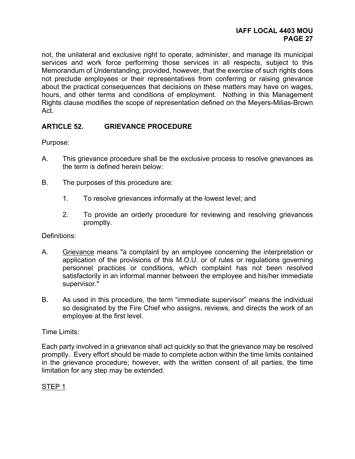#### **IAFF LOCAL 4403 MOU PAGE 27**

not, the unilateral and exclusive right to operate, administer, and manage its municipal services and work force performing those services in all respects, subject to this Memorandum of Understanding; provided, however, that the exercise of such rights does not preclude employees or their representatives from conferring or raising grievance about the practical consequences that decisions on these matters may have on wages, hours, and other terms and conditions of employment. Nothing in this Management Rights clause modifies the scope of representation defined on the Meyers-Milias-Brown Act.

# **ARTICLE 52. GRIEVANCE PROCEDURE**

Purpose:

- A. This grievance procedure shall be the exclusive process to resolve grievances as the term is defined herein below:
- B. The purposes of this procedure are:
	- 1. To resolve grievances informally at the lowest level; and
	- 2. To provide an orderly procedure for reviewing and resolving grievances promptly.

Definitions:

- A. Grievance means "a complaint by an employee concerning the interpretation or application of the provisions of this M.O.U. or of rules or regulations governing personnel practices or conditions, which complaint has not been resolved satisfactorily in an informal manner between the employee and his/her immediate supervisor."
- B. As used in this procedure, the term "immediate supervisor" means the individual so designated by the Fire Chief who assigns, reviews, and directs the work of an employee at the first level.

#### Time Limits:

Each party involved in a grievance shall act quickly so that the grievance may be resolved promptly. Every effort should be made to complete action within the time limits contained in the grievance procedure; however, with the written consent of all parties, the time limitation for any step may be extended.

#### STEP 1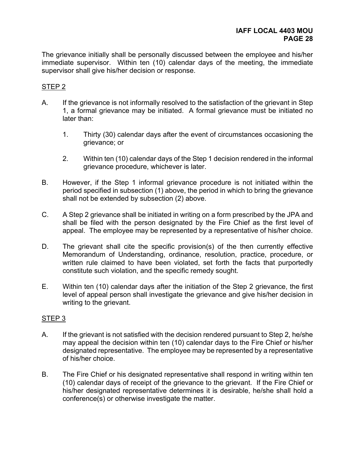The grievance initially shall be personally discussed between the employee and his/her immediate supervisor. Within ten (10) calendar days of the meeting, the immediate supervisor shall give his/her decision or response.

#### STEP 2

- A. If the grievance is not informally resolved to the satisfaction of the grievant in Step 1, a formal grievance may be initiated. A formal grievance must be initiated no later than:
	- 1. Thirty (30) calendar days after the event of circumstances occasioning the grievance; or
	- 2. Within ten (10) calendar days of the Step 1 decision rendered in the informal grievance procedure, whichever is later.
- B. However, if the Step 1 informal grievance procedure is not initiated within the period specified in subsection (1) above, the period in which to bring the grievance shall not be extended by subsection (2) above.
- C. A Step 2 grievance shall be initiated in writing on a form prescribed by the JPA and shall be filed with the person designated by the Fire Chief as the first level of appeal. The employee may be represented by a representative of his/her choice.
- D. The grievant shall cite the specific provision(s) of the then currently effective Memorandum of Understanding, ordinance, resolution, practice, procedure, or written rule claimed to have been violated, set forth the facts that purportedly constitute such violation, and the specific remedy sought.
- E. Within ten (10) calendar days after the initiation of the Step 2 grievance, the first level of appeal person shall investigate the grievance and give his/her decision in writing to the grievant.

#### STEP 3

- A. If the grievant is not satisfied with the decision rendered pursuant to Step 2, he/she may appeal the decision within ten (10) calendar days to the Fire Chief or his/her designated representative. The employee may be represented by a representative of his/her choice.
- B. The Fire Chief or his designated representative shall respond in writing within ten (10) calendar days of receipt of the grievance to the grievant. If the Fire Chief or his/her designated representative determines it is desirable, he/she shall hold a conference(s) or otherwise investigate the matter.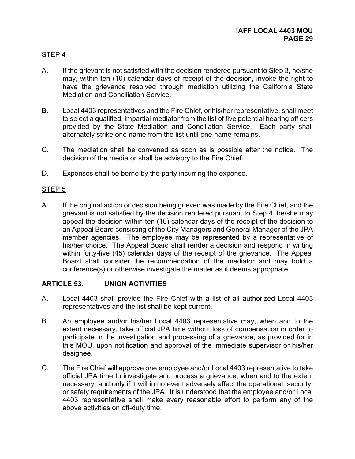# STEP 4

- A. If the grievant is not satisfied with the decision rendered pursuant to Step 3, he/she may, within ten (10) calendar days of receipt of the decision, invoke the right to have the grievance resolved through mediation utilizing the California State Mediation and Conciliation Service.
- B. Local 4403 representatives and the Fire Chief, or his/her representative, shall meet to select a qualified, impartial mediator from the list of five potential hearing officers provided by the State Mediation and Conciliation Service. Each party shall alternately strike one name from the list until one name remains.
- C. The mediation shall be convened as soon as is possible after the notice. The decision of the mediator shall be advisory to the Fire Chief.
- D. Expenses shall be borne by the party incurring the expense.

# STEP 5

A. If the original action or decision being grieved was made by the Fire Chief, and the grievant is not satisfied by the decision rendered pursuant to Step 4, he/she may appeal the decision within ten (10) calendar days of the receipt of the decision to an Appeal Board consisting of the City Managers and General Manager of the JPA member agencies. The employee may be represented by a representative of his/her choice. The Appeal Board shall render a decision and respond in writing within forty-five (45) calendar days of the receipt of the grievance. The Appeal Board shall consider the recommendation of the mediator and may hold a conference(s) or otherwise investigate the matter as it deems appropriate.

# **ARTICLE 53. UNION ACTIVITIES**

- A. Local 4403 shall provide the Fire Chief with a list of all authorized Local 4403 representatives and the list shall be kept current.
- B. An employee and/or his/her Local 4403 representative may, when and to the extent necessary, take official JPA time without loss of compensation in order to participate in the investigation and processing of a grievance, as provided for in this MOU, upon notification and approval of the immediate supervisor or his/her designee.
- C. The Fire Chief will approve one employee and/or Local 4403 representative to take official JPA time to investigate and process a grievance, when and to the extent necessary, and only if it will in no event adversely affect the operational, security, or safety requirements of the JPA. It is understood that the employee and/or Local 4403 representative shall make every reasonable effort to perform any of the above activities on off-duty time.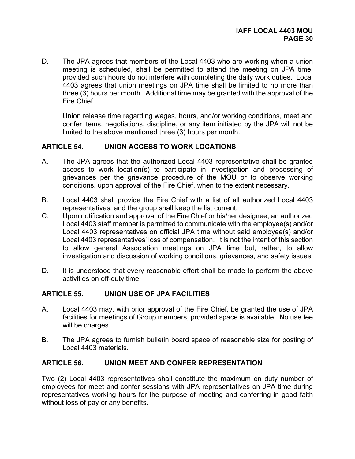D. The JPA agrees that members of the Local 4403 who are working when a union meeting is scheduled, shall be permitted to attend the meeting on JPA time, provided such hours do not interfere with completing the daily work duties. Local 4403 agrees that union meetings on JPA time shall be limited to no more than three (3) hours per month. Additional time may be granted with the approval of the Fire Chief.

Union release time regarding wages, hours, and/or working conditions, meet and confer items, negotiations, discipline, or any item initiated by the JPA will not be limited to the above mentioned three (3) hours per month.

# **ARTICLE 54. UNION ACCESS TO WORK LOCATIONS**

- A. The JPA agrees that the authorized Local 4403 representative shall be granted access to work location(s) to participate in investigation and processing of grievances per the grievance procedure of the MOU or to observe working conditions, upon approval of the Fire Chief, when to the extent necessary.
- B. Local 4403 shall provide the Fire Chief with a list of all authorized Local 4403 representatives, and the group shall keep the list current.
- C. Upon notification and approval of the Fire Chief or his/her designee, an authorized Local 4403 staff member is permitted to communicate with the employee(s) and/or Local 4403 representatives on official JPA time without said employee(s) and/or Local 4403 representatives' loss of compensation. It is not the intent of this section to allow general Association meetings on JPA time but, rather, to allow investigation and discussion of working conditions, grievances, and safety issues.
- D. It is understood that every reasonable effort shall be made to perform the above activities on off-duty time.

#### **ARTICLE 55. UNION USE OF JPA FACILITIES**

- A. Local 4403 may, with prior approval of the Fire Chief, be granted the use of JPA facilities for meetings of Group members, provided space is available. No use fee will be charges.
- B. The JPA agrees to furnish bulletin board space of reasonable size for posting of Local 4403 materials.

#### **ARTICLE 56. UNION MEET AND CONFER REPRESENTATION**

Two (2) Local 4403 representatives shall constitute the maximum on duty number of employees for meet and confer sessions with JPA representatives on JPA time during representatives working hours for the purpose of meeting and conferring in good faith without loss of pay or any benefits.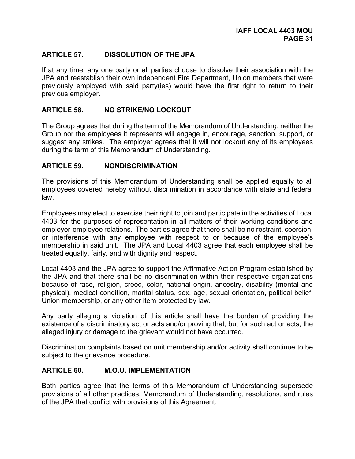# **ARTICLE 57. DISSOLUTION OF THE JPA**

If at any time, any one party or all parties choose to dissolve their association with the JPA and reestablish their own independent Fire Department, Union members that were previously employed with said party(ies) would have the first right to return to their previous employer.

### **ARTICLE 58. NO STRIKE/NO LOCKOUT**

The Group agrees that during the term of the Memorandum of Understanding, neither the Group nor the employees it represents will engage in, encourage, sanction, support, or suggest any strikes. The employer agrees that it will not lockout any of its employees during the term of this Memorandum of Understanding.

#### **ARTICLE 59. NONDISCRIMINATION**

The provisions of this Memorandum of Understanding shall be applied equally to all employees covered hereby without discrimination in accordance with state and federal law.

Employees may elect to exercise their right to join and participate in the activities of Local 4403 for the purposes of representation in all matters of their working conditions and employer-employee relations. The parties agree that there shall be no restraint, coercion, or interference with any employee with respect to or because of the employee's membership in said unit. The JPA and Local 4403 agree that each employee shall be treated equally, fairly, and with dignity and respect.

Local 4403 and the JPA agree to support the Affirmative Action Program established by the JPA and that there shall be no discrimination within their respective organizations because of race, religion, creed, color, national origin, ancestry, disability (mental and physical), medical condition, marital status, sex, age, sexual orientation, political belief, Union membership, or any other item protected by law.

Any party alleging a violation of this article shall have the burden of providing the existence of a discriminatory act or acts and/or proving that, but for such act or acts, the alleged injury or damage to the grievant would not have occurred.

Discrimination complaints based on unit membership and/or activity shall continue to be subject to the grievance procedure.

#### **ARTICLE 60. M.O.U. IMPLEMENTATION**

Both parties agree that the terms of this Memorandum of Understanding supersede provisions of all other practices, Memorandum of Understanding, resolutions, and rules of the JPA that conflict with provisions of this Agreement.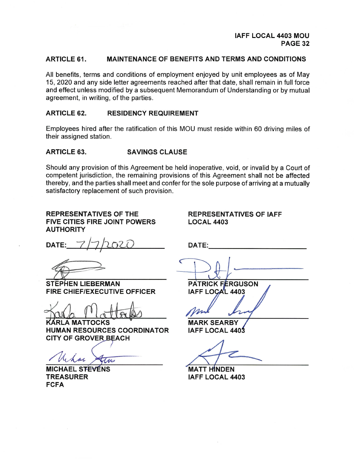#### **ARTICLE 61. MAINTENANCE OF BENEFITS AND TERMS AND CONDITIONS**

All benefits, terms and conditions of employment enjoyed by unit employees as of May 15, 2020 and any side letter agreements reached after that date, shall remain in full force and effect unless modified by a subsequent Memorandum of Understanding or by mutual agreement, in writing, of the parties.

#### **ARTICLE 62. RESIDENCY REQUIREMENT**

Employees hired after the ratification of this MOU must reside within 60 driving miles of their assigned station.

#### **ARTICLE 63. SAVINGS CLAUSE**

Should any provision of this Agreement be held inoperative, void, or invalid by a Court of competent jurisdiction, the remaining provisions of this Agreement shall not be affected thereby, and the parties shall meet and confer for the sole purpose of arriving at a mutually satisfactory replacement of such provision.

**REPRESENTATIVES OF THE FIVE CITIES FIRE JOINT POWERS AUTHORITY** 

**REPRESENTATIVES OF IAFF LOCAL 4403** 

DATE:

**STEPHEN LIEBERMAN FIRE CHIEF/EXECUTIVE OFFICER** 

KÁRLA MATTOCKS HUMAN RESOURCES COORDINATOR **CITY OF GROVER BEACH** 

tre

**MICHAEL STEVENS TREASURER FCFA** 

**PATRICK FERGUSON IAFF LOCAL 4403** 

DATE:

**MARK SEARBY IAFF LOCAL 4403** 

**MATT HINDEN IAFF LOCAL 4403**